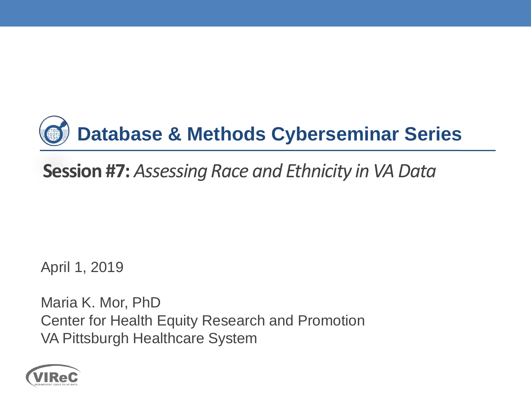

#### **Session #7:** *Assessing Race and Ethnicity in VA Data*

April 1, 2019

Maria K. Mor, PhD Center for Health Equity Research and Promotion VA Pittsburgh Healthcare System

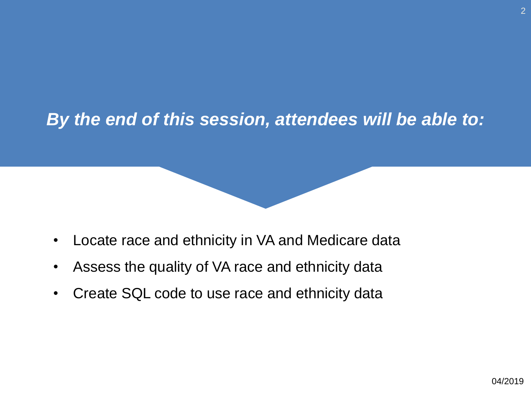#### *By the end of this session, attendees will be able to:*

- $\bullet$ Locate race and ethnicity in VA and Medicare data
- Assess the quality of VA race and ethnicity data  $\bullet$
- $\bullet$ Create SQL code to use race and ethnicity data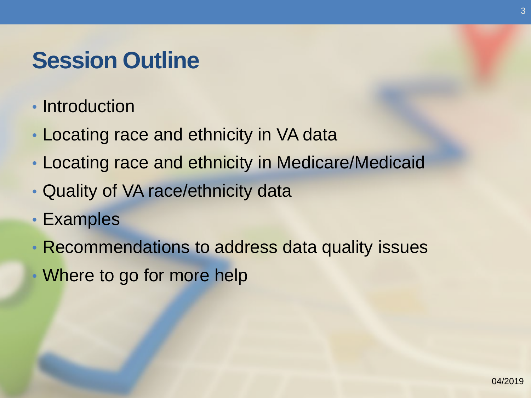### **Session Outline**

- Introduction
- Locating race and ethnicity in VA data
- Locating race and ethnicity in Medicare/Medicaid
- Quality of VA race/ethnicity data
- Examples
- Recommendations to address data quality issues
- Where to go for more help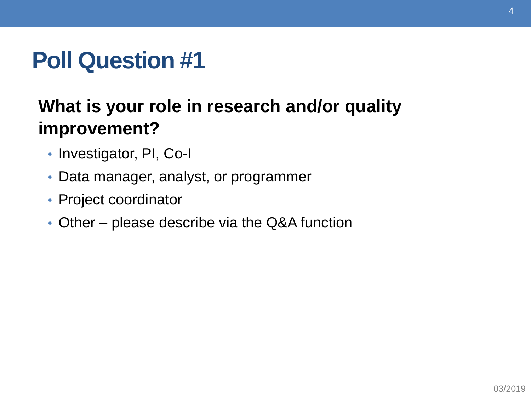## **Poll Question #1**

#### **What is your role in research and/or quality improvement?**

- Investigator, PI, Co-I
- Data manager, analyst, or programmer
- Project coordinator
- Other please describe via the Q&A function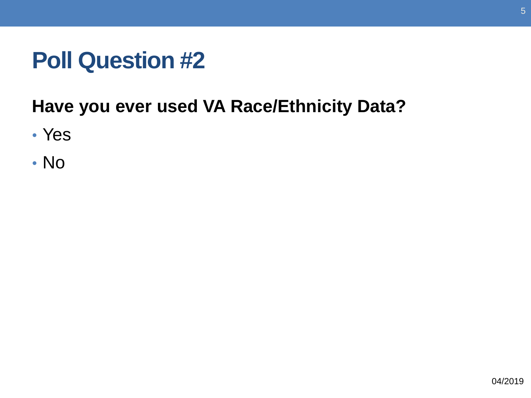## **Poll Question #2**

#### **Have you ever used VA Race/Ethnicity Data?**

- Yes
- No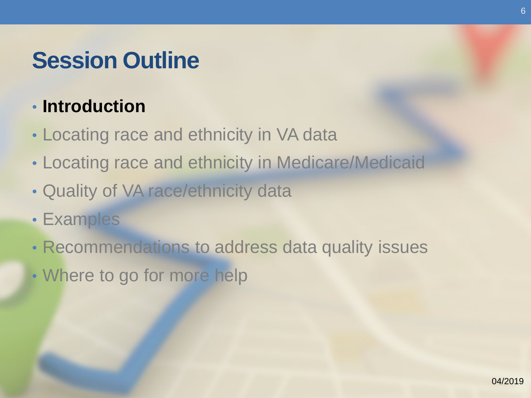## **Session Outline**

#### • **Introduction**

- Locating race and ethnicity in VA data
- Locating race and ethnicity in Medicare/Medicaid
- Quality of VA race/ethnicity data
- Examples
- Recommendations to address data quality issues
- Where to go for more help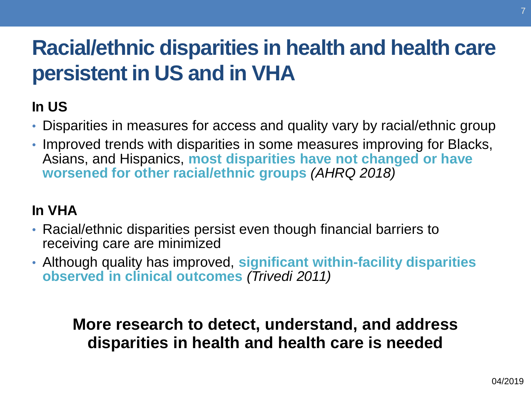## **Racial/ethnic disparities in health and health care persistent in US and in VHA**

#### **In US**

- Disparities in measures for access and quality vary by racial/ethnic group
- Improved trends with disparities in some measures improving for Blacks, Asians, and Hispanics, **most disparities have not changed or have worsened for other racial/ethnic groups** *(AHRQ 2018)*

#### **In VHA**

- Racial/ethnic disparities persist even though financial barriers to receiving care are minimized
- **observed in clinical outcomes** *(Trivedi 2011)*  • Although quality has improved, **significant within-facility disparities**

 **More research to detect, understand, and address disparities in health and health care is needed**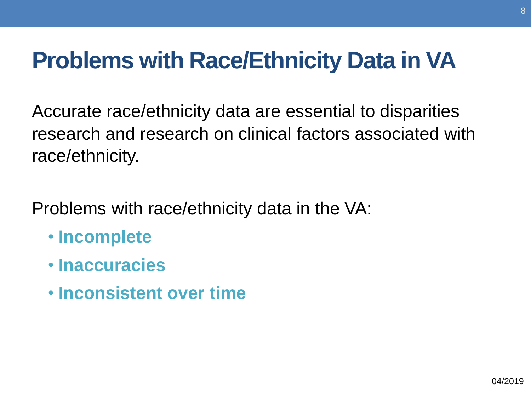## **Problems with Race/Ethnicity Data in VA**

Accurate race/ethnicity data are essential to disparities research and research on clinical factors associated with race/ethnicity.

Problems with race/ethnicity data in the VA:

- **Incomplete**
- **Inaccuracies**
- **Inconsistent over time**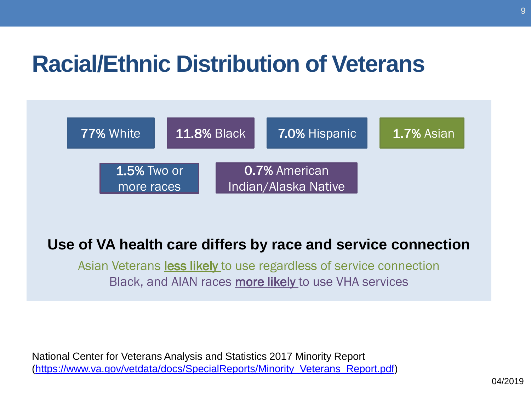## **Racial/Ethnic Distribution of Veterans**



#### **Use of VA health care differs by race and service connection**

Asian Veterans **less likely** to use regardless of service connection Black, and AIAN races more likely to use VHA services

 National Center for Veterans Analysis and Statistics 2017 Minority Report ([https://www.va.gov/vetdata/docs/SpecialReports/Minority\\_Veterans\\_Report.pdf\)](https://www.va.gov/vetdata/docs/SpecialReports/Minority_Veterans_Report.pdf)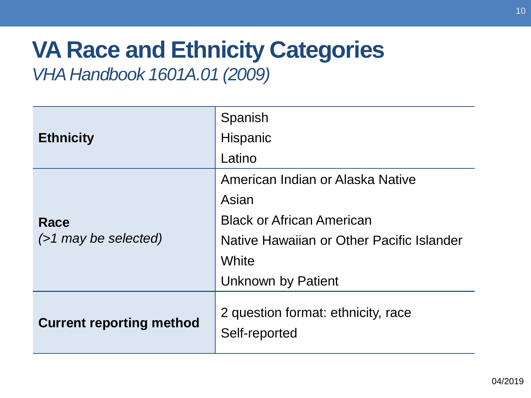# **VA Race and Ethnicity Categories**

#### *VHA Handbook [1601A.01](https://1601A.01) (2009)*

|                                 | Spanish                                             |
|---------------------------------|-----------------------------------------------------|
| <b>Ethnicity</b>                | Hispanic                                            |
|                                 | Latino                                              |
|                                 | American Indian or Alaska Native                    |
| Race<br>$($ >1 may be selected) | Asian                                               |
|                                 | <b>Black or African American</b>                    |
|                                 | Native Hawaiian or Other Pacific Islander           |
|                                 | White                                               |
|                                 | <b>Unknown by Patient</b>                           |
| <b>Current reporting method</b> | 2 question format: ethnicity, race<br>Self-reported |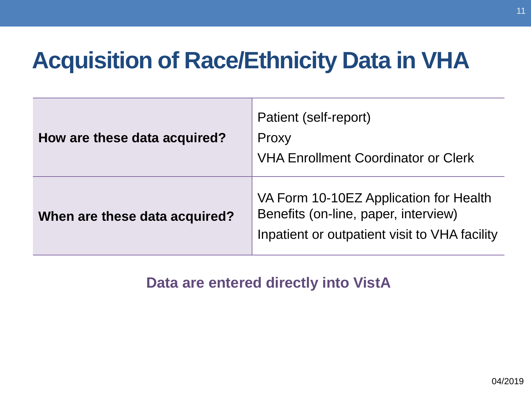## **Acquisition of Race/Ethnicity Data in VHA**

| How are these data acquired?  | Patient (self-report)<br>Proxy<br><b>VHA Enrollment Coordinator or Clerk</b>                                                    |
|-------------------------------|---------------------------------------------------------------------------------------------------------------------------------|
| When are these data acquired? | VA Form 10-10EZ Application for Health<br>Benefits (on-line, paper, interview)<br>Inpatient or outpatient visit to VHA facility |

**Data are entered directly into VistA**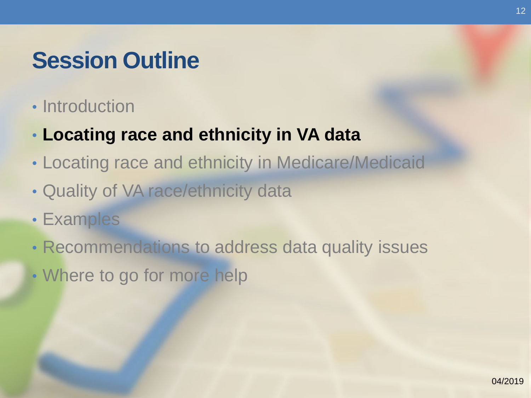### **Session Outline**

- Introduction
- **Locating race and ethnicity in VA data**
- Locating race and ethnicity in Medicare/Medicaid
- Quality of VA race/ethnicity data
- Examples
- Recommendations to address data quality issues
- Where to go for more help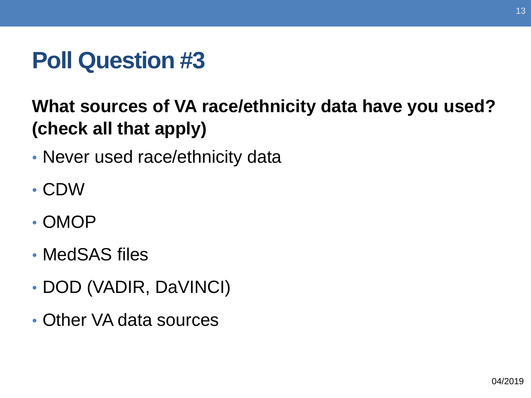## **Poll Question #3**

### **What sources of VA race/ethnicity data have you used? (check all that apply)**

- Never used race/ethnicity data
- CDW
- OMOP
- MedSAS files
- DOD (VADIR, DaVINCI)
- Other VA data sources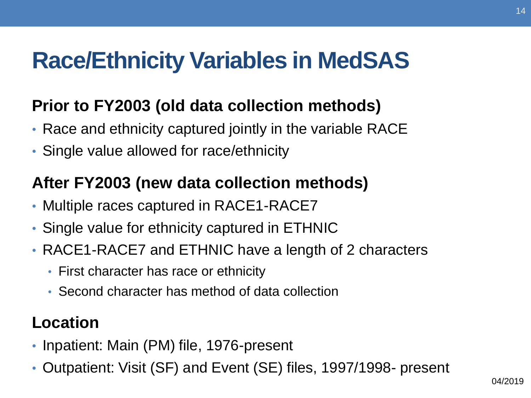## **Race/Ethnicity Variables in MedSAS**

#### **Prior to FY2003 (old data collection methods)**

- Race and ethnicity captured jointly in the variable RACE
- Single value allowed for race/ethnicity

#### **After FY2003 (new data collection methods)**

- Multiple races captured in RACE1-RACE7
- Single value for ethnicity captured in ETHNIC
- RACE1-RACE7 and ETHNIC have a length of 2 characters
	- First character has race or ethnicity
	- Second character has method of data collection

#### **Location**

- Inpatient: Main (PM) file, 1976-present
- Outpatient: Visit (SF) and Event (SE) files, 1997/1998- present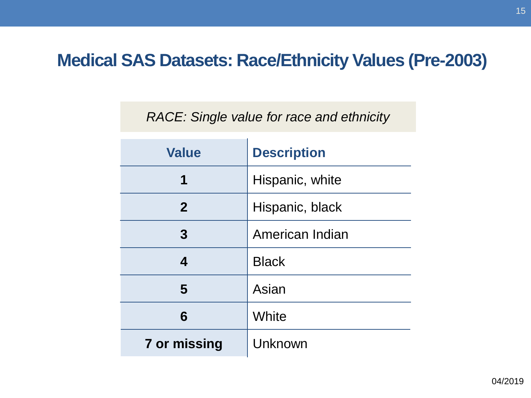#### **Medical SAS Datasets: Race/Ethnicity Values (Pre-2003)**

#### *RACE: Single value for race and ethnicity*

| <b>Value</b> | <b>Description</b> |
|--------------|--------------------|
| 1            | Hispanic, white    |
| $\mathbf{2}$ | Hispanic, black    |
| 3            | American Indian    |
| 4            | <b>Black</b>       |
| 5            | Asian              |
| 6            | White              |
| 7 or missing | Unknown            |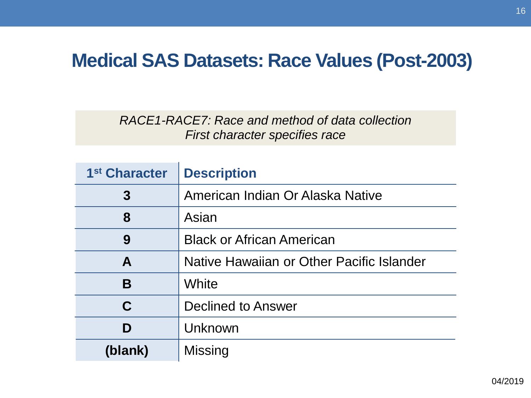#### **Medical SAS Datasets: Race Values (Post-2003)**

*RACE1-RACE7: Race and method of data collection First character specifies race* 

| 1 <sup>st</sup> Character | <b>Description</b>                        |
|---------------------------|-------------------------------------------|
| 3                         | American Indian Or Alaska Native          |
| 8                         | Asian                                     |
| 9                         | <b>Black or African American</b>          |
| A                         | Native Hawaiian or Other Pacific Islander |
| B                         | White                                     |
| C                         | Declined to Answer                        |
| D                         | Unknown                                   |
| (blank)                   | <b>Missing</b>                            |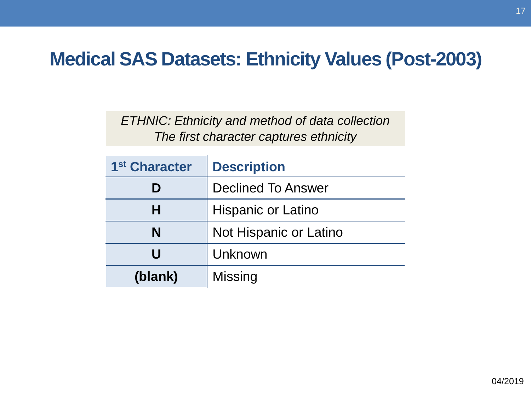#### **Medical SAS Datasets: Ethnicity Values (Post-2003)**

*ETHNIC: Ethnicity and method of data collection The first character captures ethnicity* 

| 1 <sup>st</sup> Character | <b>Description</b>        |
|---------------------------|---------------------------|
| D                         | <b>Declined To Answer</b> |
| Н                         | <b>Hispanic or Latino</b> |
| N                         | Not Hispanic or Latino    |
| U                         | Unknown                   |
| (blank)                   | <b>Missing</b>            |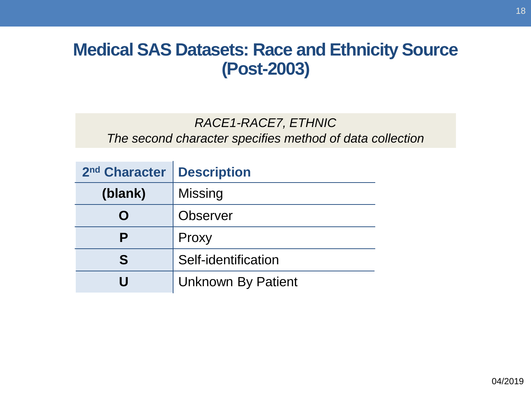#### **Medical SAS Datasets: Race and Ethnicity Source (Post-2003)**

#### *RACE1-RACE7, ETHNIC The second character specifies method of data collection*

| 2 <sup>nd</sup> Character | <b>Description</b>        |
|---------------------------|---------------------------|
| (blank)                   | Missing                   |
| O                         | <b>Observer</b>           |
| Р                         | Proxy                     |
| S                         | Self-identification       |
|                           | <b>Unknown By Patient</b> |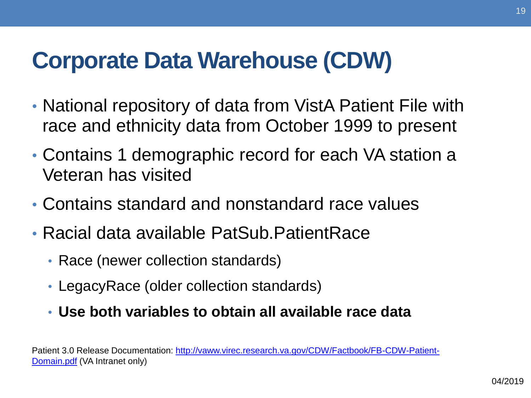## **Corporate Data Warehouse (CDW)**

- National repository of data from VistA Patient File with race and ethnicity data from October 1999 to present
- Contains 1 demographic record for each VA station a Veteran has visited
- Contains standard and nonstandard race values
- Racial data available PatSub.PatientRace
	- Race (newer collection standards)
	- LegacyRace (older collection standards)
	- **Use both variables to obtain all available race data**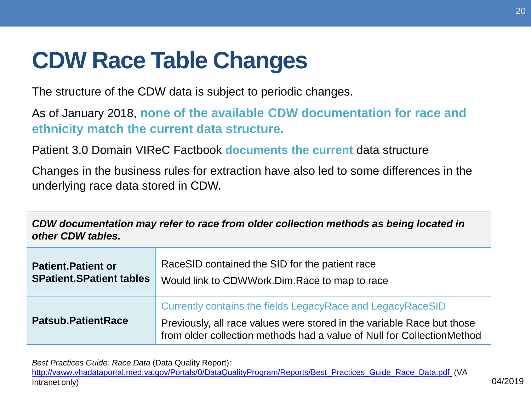# **CDW Race Table Changes**

The structure of the CDW data is subject to periodic changes.

As of January 2018, **none of the available CDW documentation for race and ethnicity match the current data structure.** 

Patient 3.0 Domain VIReC Factbook **documents the current** data structure

Changes in the business rules for extraction have also led to some differences in the underlying race data stored in CDW.

 *CDW documentation may refer to race from older collection methods as being located in other CDW tables.* 

| <b>Patient.Patient or</b>       | RaceSID contained the SID for the patient race                                                                                                                                                                 |
|---------------------------------|----------------------------------------------------------------------------------------------------------------------------------------------------------------------------------------------------------------|
| <b>SPatient.SPatient tables</b> | Would link to CDWWork.Dim.Race to map to race                                                                                                                                                                  |
| <b>Patsub.PatientRace</b>       | Currently contains the fields LegacyRace and LegacyRaceSID<br>Previously, all race values were stored in the variable Race but those<br>from older collection methods had a value of Null for CollectionMethod |

 *Best Practices Guide: Race Data* (Data Quality Report):

[http://vaww.vhadataportal.med.va.gov/Portals/0/DataQualityProgram/Reports/Best\\_Practices\\_Guide\\_Race\\_Data.pdf](http://vaww.vhadataportal.med.va.gov/Portals/0/DataQualityProgram/Reports/Best_Practices_Guide_Race_Data.pdf) (VA Intranet only) 04/2019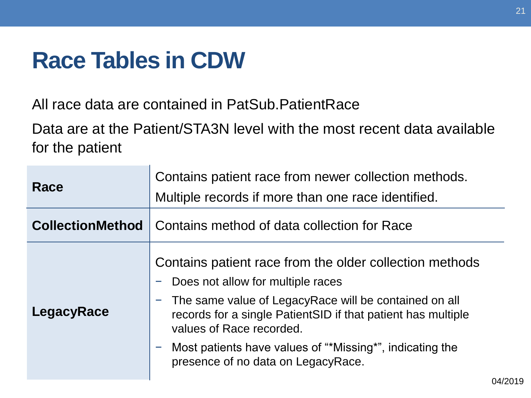## **Race Tables in CDW**

All race data are contained in PatSub.PatientRace

Data are at the Patient/STA3N level with the most recent data available for the patient

| Race       | Contains patient race from newer collection methods.<br>Multiple records if more than one race identified.                                                                                                                                                                                                                                             |
|------------|--------------------------------------------------------------------------------------------------------------------------------------------------------------------------------------------------------------------------------------------------------------------------------------------------------------------------------------------------------|
|            | <b>CollectionMethod</b>   Contains method of data collection for Race                                                                                                                                                                                                                                                                                  |
| LegacyRace | Contains patient race from the older collection methods<br>Does not allow for multiple races<br>- The same value of LegacyRace will be contained on all<br>records for a single Patient SID if that patient has multiple<br>values of Race recorded.<br>Most patients have values of "*Missing*", indicating the<br>presence of no data on LegacyRace. |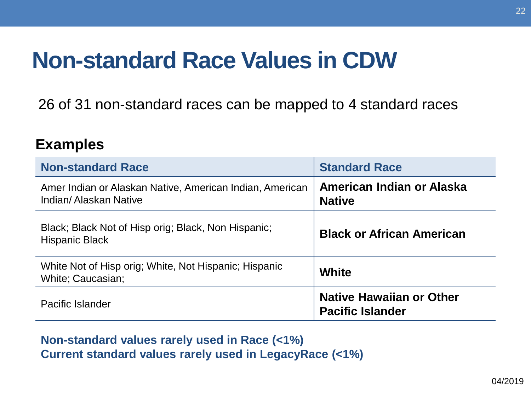## **Non-standard Race Values in CDW**

26 of 31 non-standard races can be mapped to 4 standard races

#### **Examples**

| <b>Non-standard Race</b>                                                          | <b>Standard Race</b>                                       |
|-----------------------------------------------------------------------------------|------------------------------------------------------------|
| Amer Indian or Alaskan Native, American Indian, American<br>Indian/Alaskan Native | American Indian or Alaska<br><b>Native</b>                 |
| Black; Black Not of Hisp orig; Black, Non Hispanic;<br><b>Hispanic Black</b>      | <b>Black or African American</b>                           |
| White Not of Hisp orig; White, Not Hispanic; Hispanic<br><b>White: Caucasian:</b> | White                                                      |
| Pacific Islander                                                                  | <b>Native Hawaiian or Other</b><br><b>Pacific Islander</b> |

#### **Non-standard values rarely used in Race (<1%) Current standard values rarely used in LegacyRace (<1%)**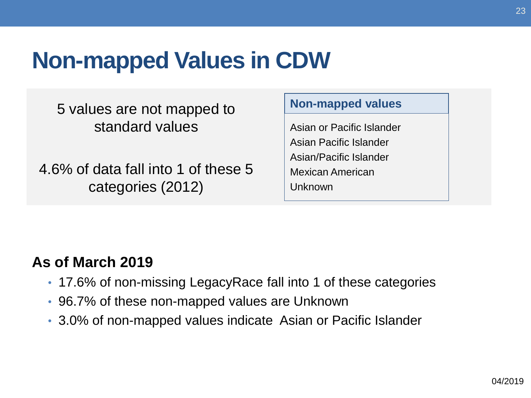## **Non-mapped Values in CDW**

5 values are not mapped to standard values

4.6% of data fall into 1 of these 5 categories (2012)

#### **Non-mapped values**

Asian or Pacific Islander Asian Pacific Islander Asian/Pacific Islander Mexican American Unknown

#### **As of March 2019**

- 17.6% of non-missing LegacyRace fall into 1 of these categories
- 96.7% of these non-mapped values are Unknown
- 3.0% of non-mapped values indicate Asian or Pacific Islander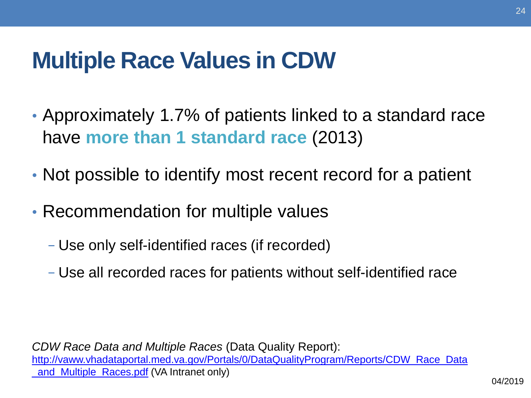## **Multiple Race Values in CDW**

- Approximately 1.7% of patients linked to a standard race have **more than 1 standard race** (2013)
- Not possible to identify most recent record for a patient
- Recommendation for multiple values
	- − Use only self-identified races (if recorded)
	- − Use all recorded races for patients without self-identified race

 *CDW Race Data and Multiple Races* (Data Quality Report): **and Multiple Races.pdf (VA Intranet only)** [http://vaww.vhadataportal.med.va.gov/Portals/0/DataQualityProgram/Reports/CDW\\_Race\\_Data](http://vaww.vhadataportal.med.va.gov/Portals/0/DataQualityProgram/Reports/CDW_Race_Data_and_Multiple_Races.pdf)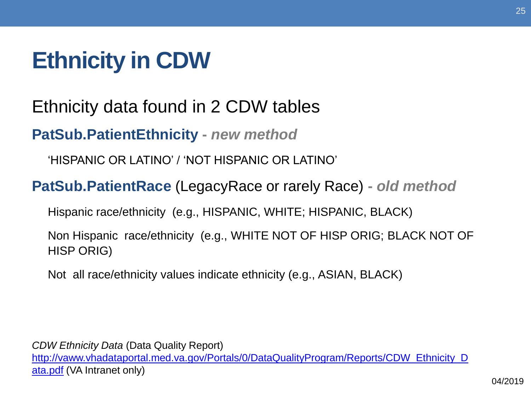# **Ethnicity in CDW**

Ethnicity data found in 2 CDW tables

**PatSub.PatientEthnicity -** *new method* 

'HISPANIC OR LATINO' / 'NOT HISPANIC OR LATINO'

**PatSub.PatientRace** (LegacyRace or rarely Race) **-** *old method* 

Hispanic race/ethnicity (e.g., HISPANIC, WHITE; HISPANIC, BLACK)

 Non Hispanic race/ethnicity (e.g., WHITE NOT OF HISP ORIG; BLACK NOT OF HISP ORIG)

Not all race/ethnicity values indicate ethnicity (e.g., ASIAN, BLACK)

 *CDW Ethnicity Data* (Data Quality Report) ata.pdf (VA Intranet only) http://vaww.vhadataportal.med.va.gov/Portals/0/DataQualityProgram/Reports/CDW\_Ethnicity\_D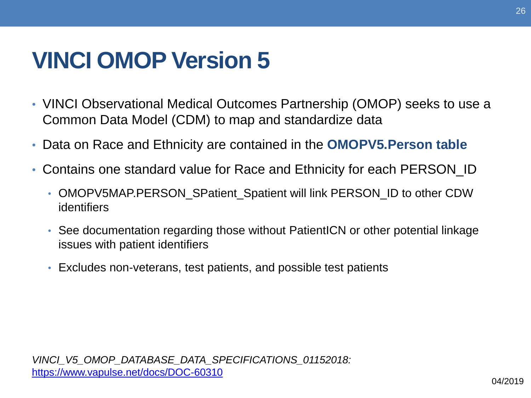## **VINCI OMOP Version 5**

- VINCI Observational Medical Outcomes Partnership (OMOP) seeks to use a Common Data Model (CDM) to map and standardize data
- Data on Race and Ethnicity are contained in the **OMOPV5.Person table**
- Contains one standard value for Race and Ethnicity for each PERSON\_ID  $\bullet$ 
	- • OMOPV5MAP.PERSON\_SPatient\_Spatient will link PERSON\_ID to other CDW identifiers
	- See documentation regarding those without PatientICN or other potential linkage issues with patient identifiers
	- Excludes non-veterans, test patients, and possible test patients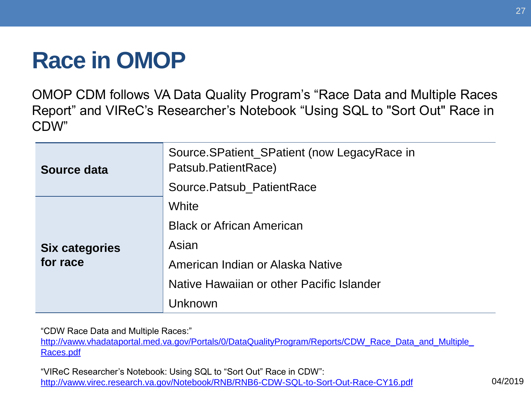# **Race in OMOP**

OMOP CDM follows VA Data Quality Program's "Race Data and Multiple Races Report" and VIReC's Researcher's Notebook "Using SQL to "Sort Out" Race in CDW"

| Source data                       | Source.SPatient_SPatient (now LegacyRace in<br>Patsub.PatientRace)<br>Source.Patsub_PatientRace                                                |
|-----------------------------------|------------------------------------------------------------------------------------------------------------------------------------------------|
| <b>Six categories</b><br>for race | White<br><b>Black or African American</b><br>Asian<br>American Indian or Alaska Native<br>Native Hawaiian or other Pacific Islander<br>Unknown |

"CDW Race Data and Multiple Races:"

http://vaww.vhadataportal.med.va.gov/Portals/0/DataQualityProgram/Reports/CDW\_Race\_Data\_and\_Multiple Races.pdf

 "VIReC Researcher's Notebook: Using SQL to "Sort Out" Race in CDW": <http://vaww.virec.research.va.gov/Notebook/RNB/RNB6-CDW-SQL-to-Sort-Out-Race-CY16.pdf>04/2019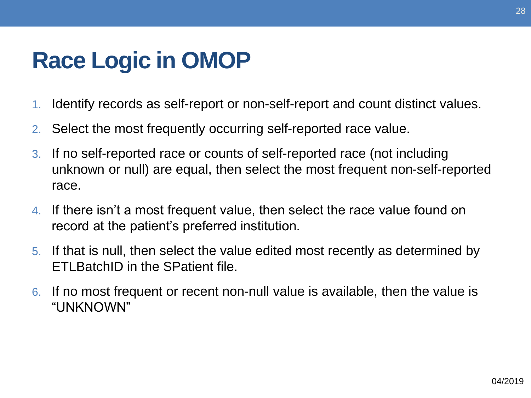# **Race Logic in OMOP**

- 1. Identify records as self-report or non-self-report and count distinct values.
- 2. Select the most frequently occurring self-reported race value.
- 3. If no self-reported race or counts of self-reported race (not including unknown or null) are equal, then select the most frequent non-self-reported race.
- 4. If there isn't a most frequent value, then select the race value found on record at the patient's preferred institution.
- 5. If that is null, then select the value edited most recently as determined by ETLBatchID in the SPatient file.
- If no most frequent or recent non-null value is available, then the value is 6. "UNKNOWN"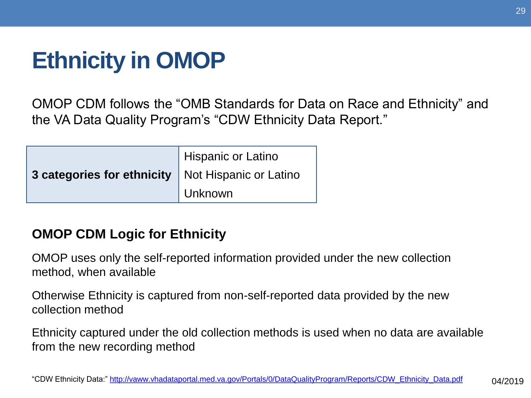# **Ethnicity in OMOP**

OMOP CDM follows the "OMB Standards for Data on Race and Ethnicity" and the VA Data Quality Program's "CDW Ethnicity Data Report."

|                                                     | Hispanic or Latino |
|-----------------------------------------------------|--------------------|
| 3 categories for ethnicity   Not Hispanic or Latino |                    |
|                                                     | Unknown            |

#### **OMOP CDM Logic for Ethnicity**

 OMOP uses only the self-reported information provided under the new collection method, when available

 Otherwise Ethnicity is captured from non-self-reported data provided by the new collection method

 Ethnicity captured under the old collection methods is used when no data are available from the new recording method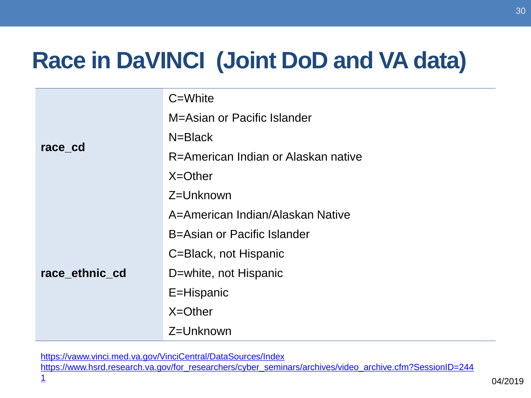# **Race in DaVINCI (Joint DoD and VA data)**

|                | C=White                             |
|----------------|-------------------------------------|
|                | M=Asian or Pacific Islander         |
|                | N=Black                             |
| race cd        | R=American Indian or Alaskan native |
|                | $X = Other$                         |
|                | Z=Unknown                           |
|                | A=American Indian/Alaskan Native    |
|                | B=Asian or Pacific Islander         |
|                | C=Black, not Hispanic               |
| race_ethnic_cd | D=white, not Hispanic               |
|                | E=Hispanic                          |
|                | $X = Other$                         |
|                | Z=Unknown                           |

<https://vaww.vinci.med.va.gov/VinciCentral/DataSources/Index>

https://www.hsrd.research.va.gov/for\_researchers/cyber\_seminars/archives/video\_archive.cfm?SessionID=244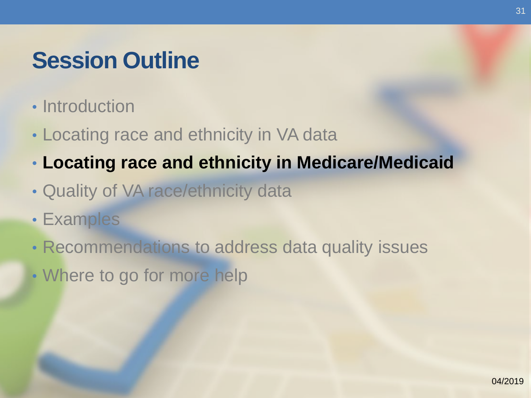## **Session Outline**

- Introduction
- Locating race and ethnicity in VA data
- **Locating race and ethnicity in Medicare/Medicaid**
- Quality of VA race/ethnicity data
- Examples
- Recommendations to address data quality issues
- Where to go for more help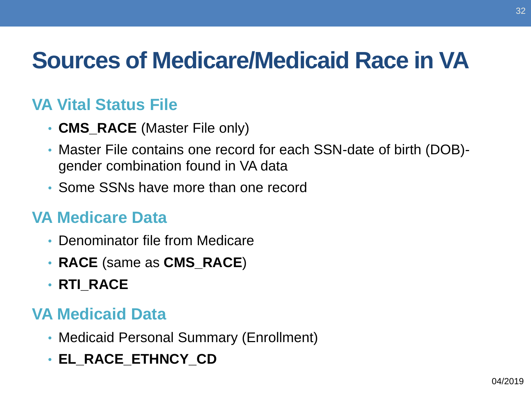# **Sources of Medicare/Medicaid Race in VA**

#### **VA Vital Status File**

- **CMS\_RACE** (Master File only)
- Master File contains one record for each SSN-date of birth (DOB) gender combination found in VA data
- Some SSNs have more than one record

#### **VA Medicare Data**

- Denominator file from Medicare
- **RACE** (same as **CMS\_RACE**)
- **RTI\_RACE**

#### **VA Medicaid Data**

- Medicaid Personal Summary (Enrollment)
- **EL\_RACE\_ETHNCY\_CD**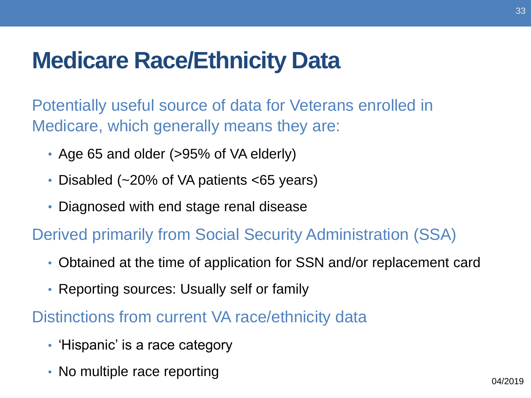## **Medicare Race/Ethnicity Data**

Potentially useful source of data for Veterans enrolled in Medicare, which generally means they are:

- Age 65 and older (>95% of VA elderly)
- Disabled (~20% of VA patients <65 years)
- Diagnosed with end stage renal disease

Derived primarily from Social Security Administration (SSA)

- Obtained at the time of application for SSN and/or replacement card
- Reporting sources: Usually self or family

#### Distinctions from current VA race/ethnicity data

- 'Hispanic' is a race category
- No multiple race reporting **EXACTER 1999 12019** 04/2019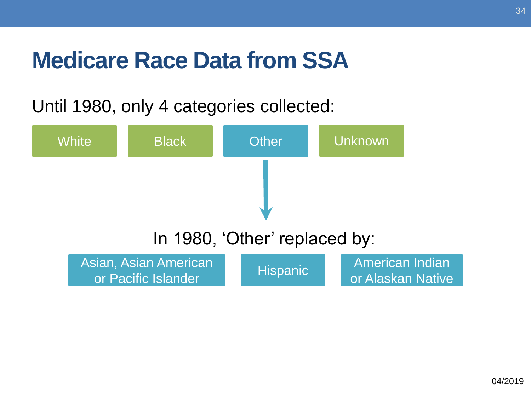## **Medicare Race Data from SSA**

#### Until 1980, only 4 categories collected:

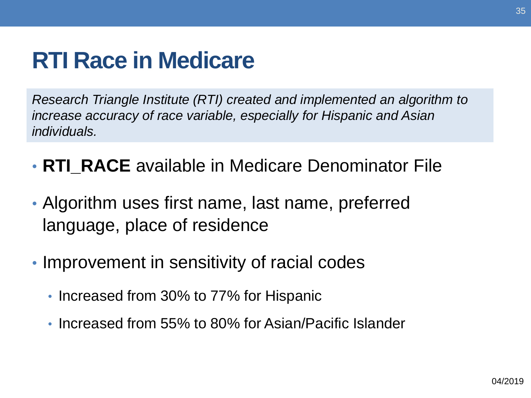## **RTI Race in Medicare**

 *Research Triangle Institute (RTI) created and implemented an algorithm to increase accuracy of race variable, especially for Hispanic and Asian individuals.* 

- **RTI\_RACE** available in Medicare Denominator File
- Algorithm uses first name, last name, preferred language, place of residence
- Improvement in sensitivity of racial codes
	- Increased from 30% to 77% for Hispanic
	- Increased from 55% to 80% for Asian/Pacific Islander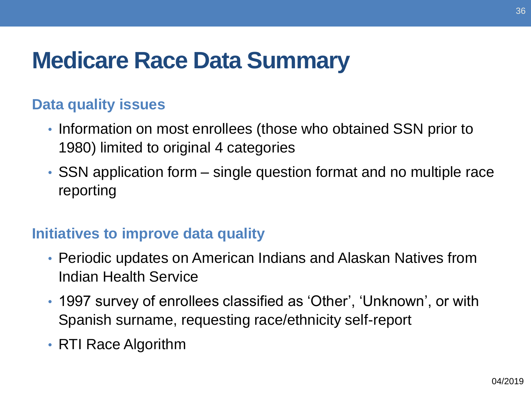# **Medicare Race Data Summary**

#### **Data quality issues**

- Information on most enrollees (those who obtained SSN prior to 1980) limited to original 4 categories
- SSN application form single question format and no multiple race reporting

#### **Initiatives to improve data quality**

- Periodic updates on American Indians and Alaskan Natives from Indian Health Service
- 1997 survey of enrollees classified as 'Other', 'Unknown', or with Spanish surname, requesting race/ethnicity self-report
- RTI Race Algorithm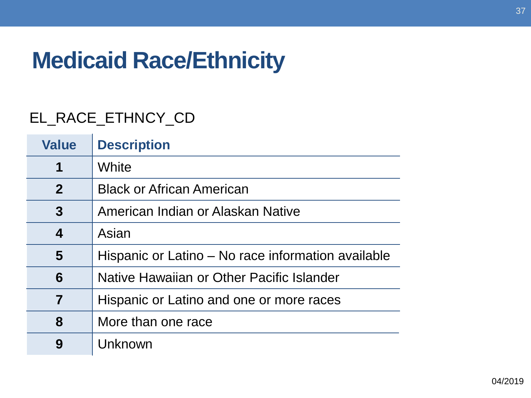## **Medicaid Race/Ethnicity**

#### EL\_RACE\_ETHNCY\_CD

| <b>Value</b>            | <b>Description</b>                                 |
|-------------------------|----------------------------------------------------|
| 1                       | White                                              |
| $\mathbf{2}$            | <b>Black or African American</b>                   |
| 3                       | American Indian or Alaskan Native                  |
| 4                       | Asian                                              |
| $\overline{\mathbf{5}}$ | Hispanic or Latino – No race information available |
| 6                       | Native Hawaiian or Other Pacific Islander          |
| 7                       | Hispanic or Latino and one or more races           |
| 8                       | More than one race                                 |
| 9                       | Unknown                                            |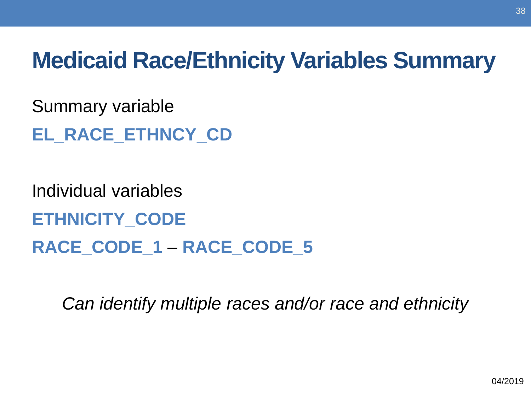## **Medicaid Race/Ethnicity Variables Summary**

Summary variable

**EL\_RACE\_ETHNCY\_CD** 

Individual variables **ETHNICITY\_CODE RACE\_CODE\_1** – **RACE\_CODE\_5** 

*Can identify multiple races and/or race and ethnicity*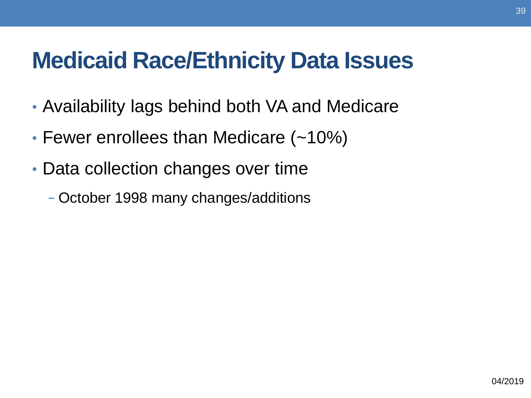## **Medicaid Race/Ethnicity Data Issues**

- Availability lags behind both VA and Medicare
- Fewer enrollees than Medicare (~10%)
- Data collection changes over time
	- − October 1998 many changes/additions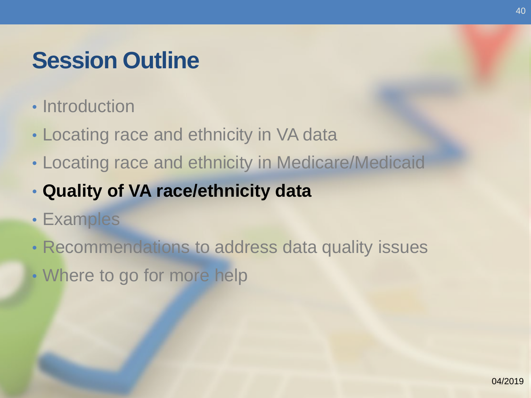## **Session Outline**

- Introduction
- Locating race and ethnicity in VA data
- Locating race and ethnicity in Medicare/Medicaid
- **Quality of VA race/ethnicity data**
- Examples
- Recommendations to address data quality issues
- Where to go for more help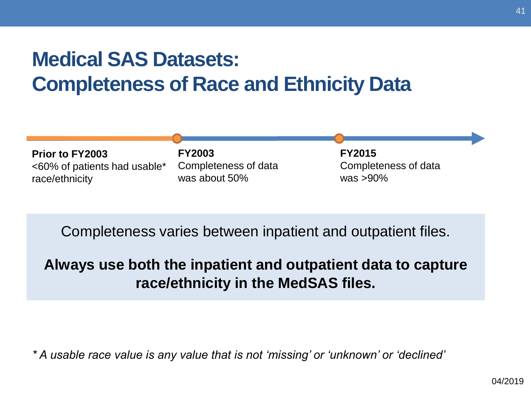#### **Medical SAS Datasets: Completeness of Race and Ethnicity Data**



Completeness varies between inpatient and outpatient files.

#### **Always use both the inpatient and outpatient data to capture race/ethnicity in the MedSAS files.**

*\* A usable race value is any value that is not 'missing' or 'unknown' or 'declined'*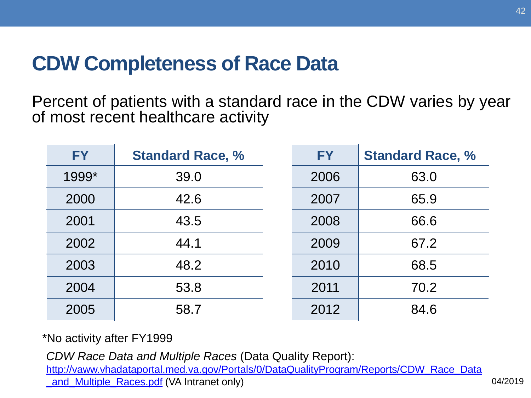#### **CDW Completeness of Race Data**

 Percent of patients with a standard race in the CDW varies by year of most recent healthcare activity

| <b>FY</b> | <b>Standard Race, %</b> | <b>FY</b> | <b>Standard Race, %</b> |
|-----------|-------------------------|-----------|-------------------------|
| 1999*     | 39.0                    | 2006      | 63.0                    |
| 2000      | 42.6                    | 2007      | 65.9                    |
| 2001      | 43.5                    | 2008      | 66.6                    |
| 2002      | 44.1                    | 2009      | 67.2                    |
| 2003      | 48.2                    | 2010      | 68.5                    |
| 2004      | 53.8                    | 2011      | 70.2                    |
| 2005      | 58.7                    | 2012      | 84.6                    |

\*No activity after FY1999

*CDW Race Data and Multiple Races* (Data Quality Report):

and Multiple Races.pdf (VA Intranet only) and Multiple Races.pdf (VA Intranet only) http://vaww.vhadataportal.med.va.gov/Portals/0/DataQualityProgram/Reports/CDW\_Race\_Data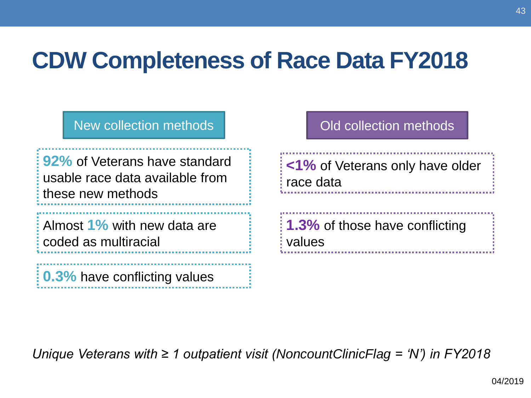## **CDW Completeness of Race Data FY2018**

**92%** of Veterans have standard usable race data available from these new methods

 Almost **1%** with new data are coded as multiracial

**0.3%** have conflicting values

#### New collection methods New Cold collection methods

 **<1%** of Veterans only have older race data

**1.3%** of those have conflicting values

*Unique Veterans with ≥ 1 outpatient visit (NoncountClinicFlag = 'N') in FY2018*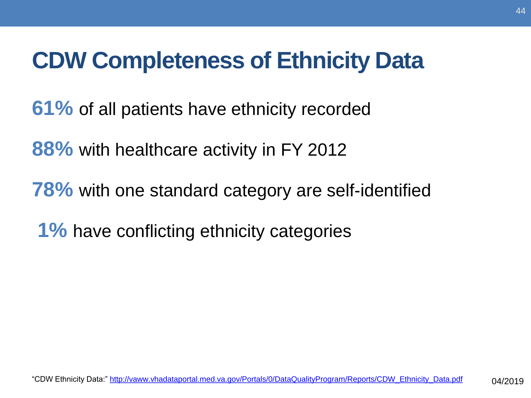## **CDW Completeness of Ethnicity Data**

**61%** of all patients have ethnicity recorded

**88%** with healthcare activity in FY 2012

**78%** with one standard category are self-identified

**1%** have conflicting ethnicity categories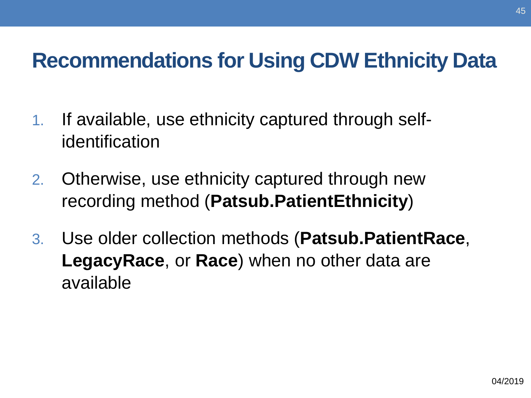#### **Recommendations for Using CDW Ethnicity Data**

- 1. If available, use ethnicity captured through selfidentification
- 2. Otherwise, use ethnicity captured through new recording method (**Patsub.PatientEthnicity**)
- 3. Use older collection methods (**Patsub.PatientRace**, **LegacyRace**, or **Race**) when no other data are available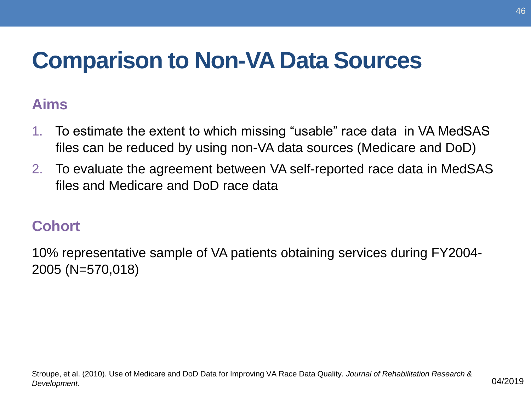## **Comparison to Non-VA Data Sources**

#### **Aims**

- To estimate the extent to which missing "usable" race data in VA MedSAS files can be reduced by using non-VA data sources (Medicare and DoD) 1.
- 2. To evaluate the agreement between VA self-reported race data in MedSAS files and Medicare and DoD race data

#### **Cohort**

 10% representative sample of VA patients obtaining services during FY2004- 2005 (N=570,018)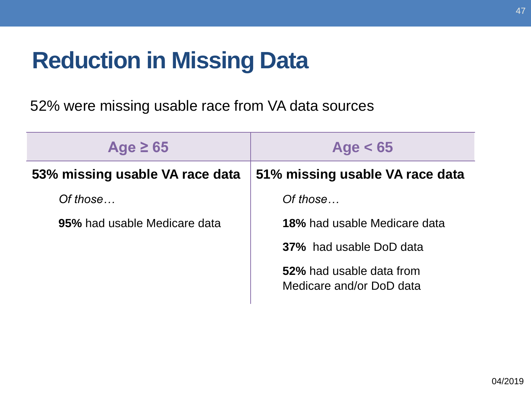## **Reduction in Missing Data**

52% were missing usable race from VA data sources

| Age $\geq 65$                   | Age $< 65$                                           |
|---------------------------------|------------------------------------------------------|
| 53% missing usable VA race data | 51% missing usable VA race data                      |
| Of those                        | Of those                                             |
| 95% had usable Medicare data    | <b>18%</b> had usable Medicare data                  |
|                                 | <b>37%</b> had usable DoD data                       |
|                                 | 52% had usable data from<br>Medicare and/or DoD data |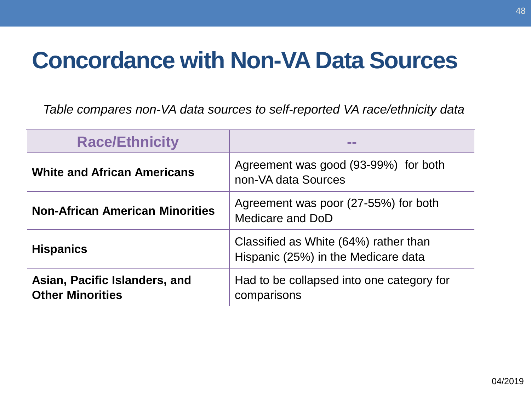### **Concordance with Non-VA Data Sources**

*Table compares non-VA data sources to self-reported VA race/ethnicity data* 

| <b>Race/Ethnicity</b>                                    |                                                                              |
|----------------------------------------------------------|------------------------------------------------------------------------------|
| <b>White and African Americans</b>                       | Agreement was good (93-99%) for both<br>non-VA data Sources                  |
| <b>Non-African American Minorities</b>                   | Agreement was poor (27-55%) for both<br>Medicare and DoD                     |
| <b>Hispanics</b>                                         | Classified as White (64%) rather than<br>Hispanic (25%) in the Medicare data |
| Asian, Pacific Islanders, and<br><b>Other Minorities</b> | Had to be collapsed into one category for<br>comparisons                     |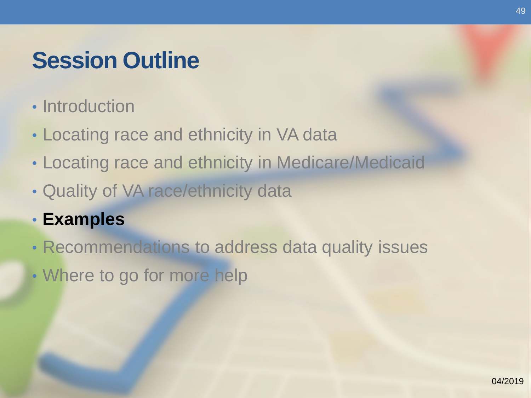## **Session Outline**

- Introduction
- Locating race and ethnicity in VA data
- Locating race and ethnicity in Medicare/Medicaid
- Quality of VA race/ethnicity data
- **Examples**
- Recommendations to address data quality issues
- Where to go for more help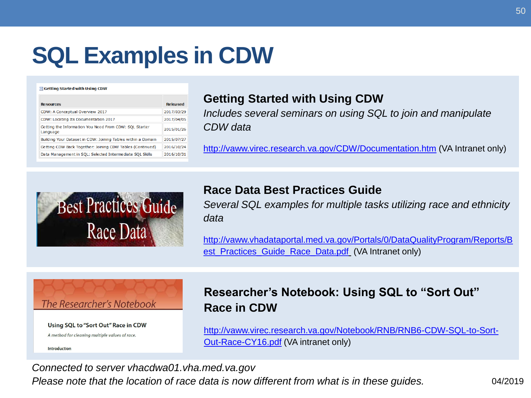# **SQL Examples in CDW**

#### Getting Started with Using CDW

| <b>Resources</b>                                                   | Released   |
|--------------------------------------------------------------------|------------|
| CDW: A Conceptual Overview 2017                                    | 2017/03/29 |
| CDW: Locating Its Documentation 2017                               | 2017/04/05 |
| Getting the Information You Need From CDW: SQL Starter<br>Language | 2015/01/26 |
| Building Your Dataset in CDW: Joining Tables within a Domain       | 2015/07/27 |
| Getting CDW Back Together: Joining CDW Tables (Continued)          | 2016/10/24 |
| Data Management in SOL: Selected Intermediate SOL Skills           | 2016/10/31 |

#### **Getting Started with Using CDW**

 *Includes several seminars on using SQL to join and manipulate CDW data* 

<http://vaww.virec.research.va.gov/CDW/Documentation.htm>(VA Intranet only)



#### **Race Data Best Practices Guide**

 *Several SQL examples for multiple tasks utilizing race and ethnicity data* 

[http://vaww.vhadataportal.med.va.gov/Portals/0/DataQualityProgram/Reports/B](http://vaww.vhadataportal.med.va.gov/Portals/0/DataQualityProgram/Reports/Best_Practices_Guide_Race_Data.pdf)  est\_Practices\_Guide\_Race\_Data.pdf (VA Intranet only)



Using SQL to "Sort Out" Race in CDW

A method for cleaning multiple values of race.

Introduction

#### **Researcher's Notebook: Using SQL to "Sort Out" Race in CDW**

[http://vaww.virec.research.va.gov/Notebook/RNB/RNB6-CDW-SQL-to-Sort-](http://vaww.virec.research.va.gov/Notebook/RNB/RNB6-CDW-SQL-to-Sort-Out-Race-CY16.pdf)Out-Race-CY16.pdf (VA intranet only)

*Connected to server [vhacdwa01.vha.med.va.gov](https://vhacdwa01.vha.med.va.gov)* 

 *Please note that the location of race data is now different from what is in these guides.* 04/2019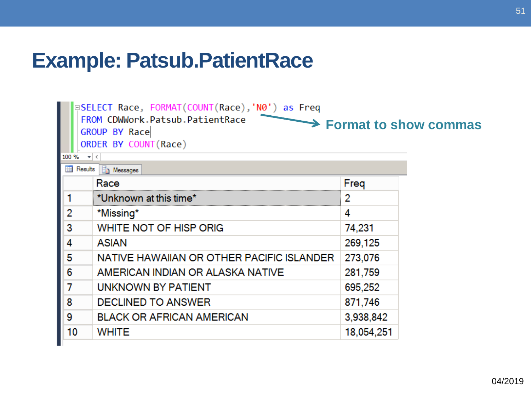#### **Example: Patsub.PatientRace**

|                | □SELECT Race, FORMAT(COUNT(Race),'N0') as Freq<br>FROM CDWWork.Patsub.PatientRace<br><b>GROUP BY Race</b><br>ORDER BY COUNT (Race) |            | $\rightarrow$ Format to show commas |
|----------------|------------------------------------------------------------------------------------------------------------------------------------|------------|-------------------------------------|
| 100 %          | $\mathbf{v}$ (<br>Results <b>Fig. Messages</b>                                                                                     |            |                                     |
|                | Race                                                                                                                               | Freq       |                                     |
|                | *Unknown at this time*                                                                                                             | 2          |                                     |
| $\overline{2}$ | *Missing*                                                                                                                          | 4          |                                     |
| $\overline{3}$ | WHITE NOT OF HISP ORIG                                                                                                             | 74,231     |                                     |
| 4              | <b>ASIAN</b>                                                                                                                       | 269,125    |                                     |
| 5              | NATIVE HAWAIIAN OR OTHER PACIFIC ISLANDER                                                                                          | 273,076    |                                     |
| 6              | AMERICAN INDIAN OR ALASKA NATIVE                                                                                                   | 281,759    |                                     |
| $\overline{7}$ | UNKNOWN BY PATIENT                                                                                                                 | 695,252    |                                     |
| 8              | <b>DECLINED TO ANSWER</b>                                                                                                          | 871,746    |                                     |
| 9              | <b>BLACK OR AFRICAN AMERICAN</b>                                                                                                   | 3,938,842  |                                     |
| 10             | <b>WHITE</b>                                                                                                                       | 18,054,251 |                                     |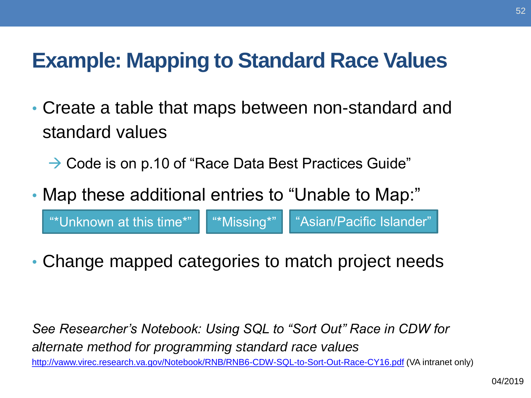#### **Example: Mapping to Standard Race Values**

- Create a table that maps between non-standard and standard values
	- → Code is on p.10 of "Race Data Best Practices Guide"
- Map these additional entries to "Unable to Map:"

"\*Unknown at this time\*" | "\*Missing\*" | "Asian/Pacific Islander"

• Change mapped categories to match project needs

 *alternate method for programming standard race values See Researcher's Notebook: Using SQL to "Sort Out" Race in CDW for*  <http://vaww.virec.research.va.gov/Notebook/RNB/RNB6-CDW-SQL-to-Sort-Out-Race-CY16.pdf>(VA intranet only)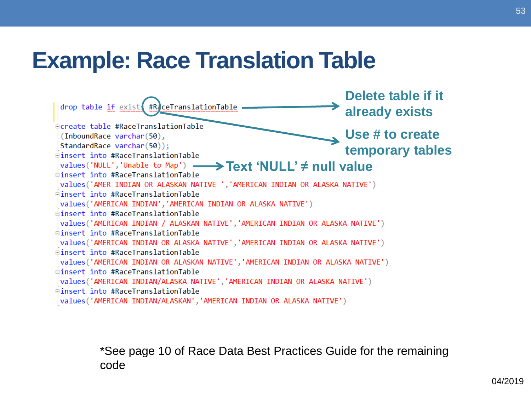### **Example: Race Translation Table**



\*See page 10 of Race Data Best Practices Guide for the remaining code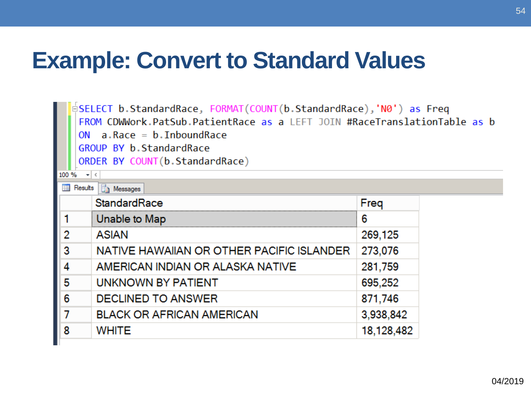## **Example: Convert to Standard Values**

□SELECT b.StandardRace, FORMAT(COUNT(b.StandardRace),'N0') as Freq FROM CDWWork.PatSub.PatientRace as a LEFT JOIN #RaceTranslationTable as b ON  $a.Race = b.InboundRace$ GROUP BY b. StandardRace ORDER BY COUNT(b.StandardRace)

Fred

100 %  $\bullet$  < **Results B** Messages StandardRace

.

|   | owna a va                                 | .          |
|---|-------------------------------------------|------------|
|   | Unable to Map                             | 6          |
| 2 | <b>ASIAN</b>                              | 269,125    |
| 3 | NATIVE HAWAIIAN OR OTHER PACIFIC ISLANDER | 273,076    |
|   | AMERICAN INDIAN OR ALASKA NATIVE          | 281,759    |
| 5 | UNKNOWN BY PATIENT                        | 695,252    |
| 6 | <b>DECLINED TO ANSWER</b>                 | 871,746    |
|   | <b>BLACK OR AFRICAN AMERICAN</b>          | 3,938,842  |
| 8 | <b>WHITE</b>                              | 18,128,482 |
|   |                                           |            |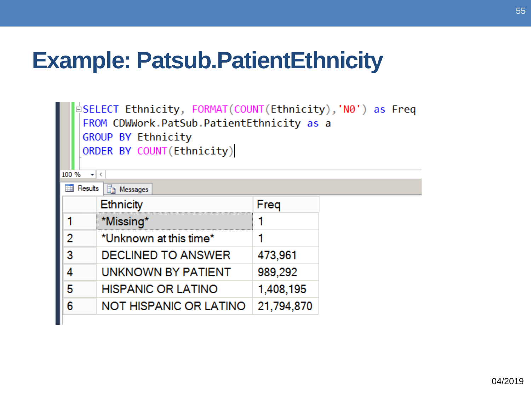## **Example: Patsub.PatientEthnicity**

□SELECT Ethnicity, FORMAT(COUNT(Ethnicity),'N0') as Freq FROM CDWWork.PatSub.PatientEthnicity as a<br>GROUP BY Ethnicity<br>ORDER BY COUNT(Ethnicity)

| 100%<br>Results | $\mathbf{v}$ (<br><b>Fig.</b> Messages |            |
|-----------------|----------------------------------------|------------|
|                 | <b>Ethnicity</b>                       | Freq       |
|                 | *Missing*                              |            |
|                 | *Unknown at this time*                 |            |
|                 | <b>DECLINED TO ANSWER</b>              | 473,961    |
|                 | UNKNOWN BY PATIENT                     | 989,292    |
|                 | <b>HISPANIC OR LATINO</b>              | 1,408,195  |
| 6               | NOT HISPANIC OR LATINO                 | 21,794,870 |
|                 |                                        |            |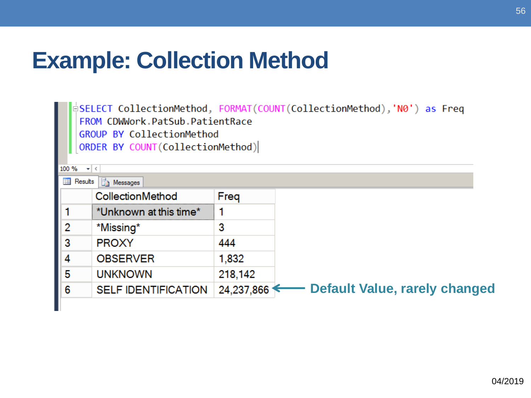## **Example: Collection Method**

†SELECT CollectionMethod, FORMAT(COUNT(CollectionMethod),'N0') as Freq FROM CDWWork.PatSub.PatientRace GROUP BY CollectionMethod ORDER BY COUNT(CollectionMethod)

| 100 %<br><b>Results</b> | $\mathbf{v}$ (<br><b>The Messages</b> |            |                                      |
|-------------------------|---------------------------------------|------------|--------------------------------------|
|                         | CollectionMethod                      | Freq       |                                      |
|                         | *Unknown at this time*                |            |                                      |
| 2                       | *Missing*                             | 3          |                                      |
| 3                       | <b>PROXY</b>                          | 444        |                                      |
| 4                       | <b>OBSERVER</b>                       | 1,832      |                                      |
| 5                       | <b>UNKNOWN</b>                        | 218,142    |                                      |
| 6                       | <b>SELF IDENTIFICATION</b>            | 24,237,866 | <b>Default Value, rarely changed</b> |
|                         |                                       |            |                                      |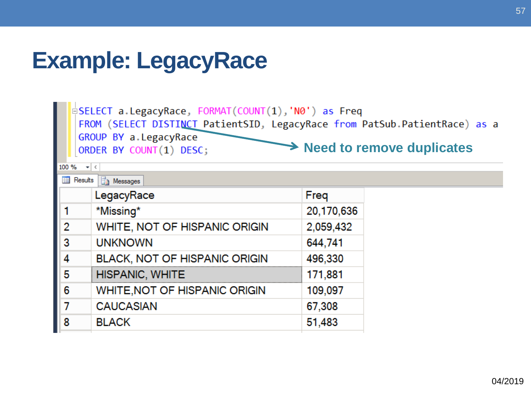## **Example: LegacyRace**

|                                                                                      |                                       | pSELECT a LegacyRace, FORMAT(COUNT(1),'N0') as Freq<br>FROM (SELECT DISTINCT PatientSID, LegacyRace from PatSub PatientRace) as a<br>GROUP BY a. LegacyRace<br>ORDER BY COUNT(1) DESC; |            | $\rightarrow$ Need to remove duplicates |
|--------------------------------------------------------------------------------------|---------------------------------------|----------------------------------------------------------------------------------------------------------------------------------------------------------------------------------------|------------|-----------------------------------------|
|                                                                                      | 100 %<br>$\mathbf{v} \mid \mathbf{v}$ |                                                                                                                                                                                        |            |                                         |
|                                                                                      | ᆍ                                     | Results <b>Fig.</b> Messages                                                                                                                                                           |            |                                         |
|                                                                                      |                                       | LegacyRace                                                                                                                                                                             | Freq       |                                         |
|                                                                                      |                                       | *Missing*                                                                                                                                                                              | 20,170,636 |                                         |
|                                                                                      |                                       | WHITE, NOT OF HISPANIC ORIGIN                                                                                                                                                          | 2,059,432  |                                         |
|                                                                                      |                                       | <b>UNKNOWN</b>                                                                                                                                                                         | 644,741    |                                         |
| $\begin{array}{ c c }\n\hline\n1 & 2 \\ \hline\n2 & 3 \\ \hline\n4 & 5\n\end{array}$ |                                       | BLACK, NOT OF HISPANIC ORIGIN                                                                                                                                                          | 496,330    |                                         |
|                                                                                      |                                       | <b>HISPANIC, WHITE</b>                                                                                                                                                                 | 171,881    |                                         |
| 6                                                                                    |                                       | <b>WHITE, NOT OF HISPANIC ORIGIN</b>                                                                                                                                                   | 109,097    |                                         |
|                                                                                      |                                       | <b>CAUCASIAN</b>                                                                                                                                                                       | 67,308     |                                         |
| $\begin{array}{ c c }\n\hline\n5 \\ 7 \\ 8\n\end{array}$<br>8                        |                                       | <b>BLACK</b>                                                                                                                                                                           | 51,483     |                                         |
|                                                                                      |                                       |                                                                                                                                                                                        |            |                                         |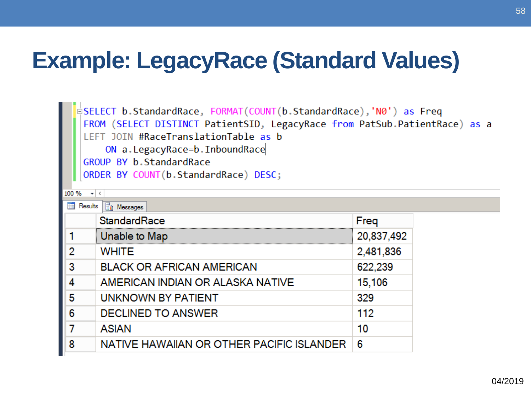## **Example: LegacyRace (Standard Values)**

**o** SELECT b StandardRace, FORMAT(COUNT(b StandardRace), 'N0') as Freq FROM (SELECT DISTINCT PatientSID, LegacyRace from PatSub PatientRace) as a LEFT JOIN #RaceTranslationTable as b ON a.LegacyRace=b.InboundRace

GROUP BY b. StandardRace

ORDER BY COUNT(b.StandardRace) DESC;

| 100 %                                | $\mathbf{v} \mid \mathbf{v}$              |            |  |
|--------------------------------------|-------------------------------------------|------------|--|
| 用<br>Results<br><b>Fig. Messages</b> |                                           |            |  |
|                                      | StandardRace                              | Freq       |  |
|                                      | Unable to Map                             | 20,837,492 |  |
| 2                                    | <b>WHITE</b>                              | 2,481,836  |  |
| 3                                    | <b>BLACK OR AFRICAN AMERICAN</b>          | 622,239    |  |
| 4                                    | AMERICAN INDIAN OR ALASKA NATIVE          | 15,106     |  |
| 5                                    | UNKNOWN BY PATIENT                        | 329        |  |
| 6                                    | <b>DECLINED TO ANSWER</b>                 | 112        |  |
|                                      | <b>ASIAN</b>                              | 10         |  |
| 8                                    | NATIVE HAWAIIAN OR OTHER PACIFIC ISLANDER | 6          |  |
|                                      |                                           |            |  |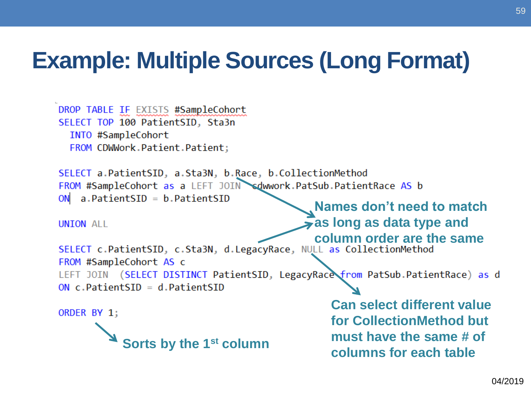## **Example: Multiple Sources (Long Format)**

```
DROP TABLE IF EXISTS #SampleCohort
SELECT TOP 100 PatientSID, Sta3n
  INTO #SampleCohort
  FROM CDWWork.Patient.Patient;
SELECT a PatientSID, a Sta3N, b Race, b CollectionMethod
FROM #SampleCohort as a LEFT JOIN sdwwork.PatSub.PatientRace AS b
   a.Patient SID = b.Patient SIDON
                                              Names don't need to match 
                                              as long as data type and 
UNION ALL
column order are the same<br>SELECT c.PatientSID, c.Sta3N, d.LegacyRace, NULL as CollectionMethod
FROM #SampleCohort AS c
LEFT JOIN (SELECT DISTINCT PatientSID, LegacyRace from PatSub PatientRace) as d
ON c.PatientSID = d.Patient SIDCan select different value 
ORDER BY 1;
                                                   for CollectionMethod but 
           sorts by the 1<sup>st</sup> column and the same # of columns for each table
```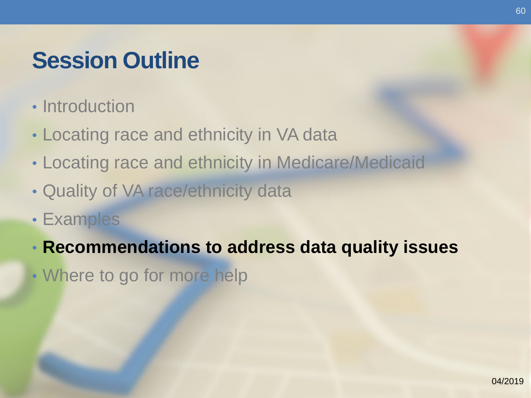## **Session Outline**

- Introduction
- Locating race and ethnicity in VA data
- Locating race and ethnicity in Medicare/Medicaid
- Quality of VA race/ethnicity data
- Examples
- **Recommendations to address data quality issues**
- Where to go for more help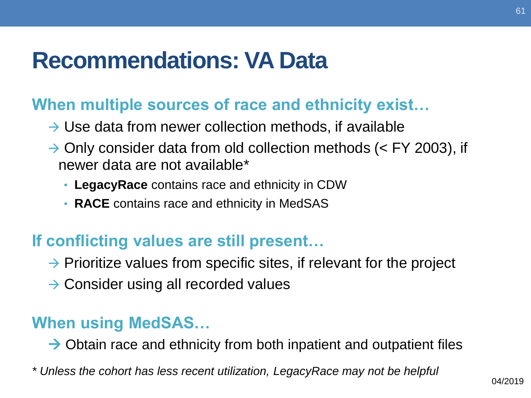## **Recommendations: VA Data**

#### **When multiple sources of race and ethnicity exist…**

- $\rightarrow$  Use data from newer collection methods, if available
- $\rightarrow$  Only consider data from old collection methods (< FY 2003), if newer data are not available\*
	- **LegacyRace** contains race and ethnicity in CDW
	- **RACE** contains race and ethnicity in MedSAS

#### **If conflicting values are still present…**

- $\rightarrow$  Prioritize values from specific sites, if relevant for the project
- → Consider using all recorded values

#### **When using MedSAS…**

 $\rightarrow$  Obtain race and ethnicity from both inpatient and outpatient files

*\* Unless the cohort has less recent utilization, LegacyRace may not be helpful*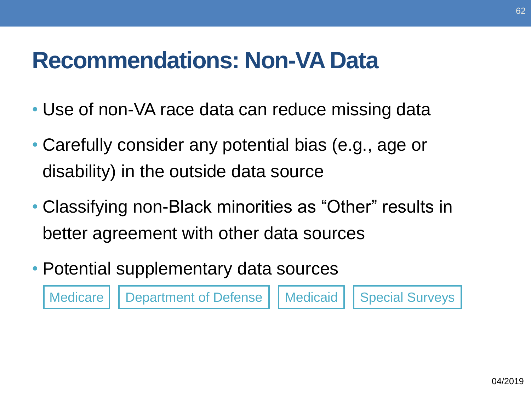## **Recommendations: Non-VA Data**

- Use of non-VA race data can reduce missing data
- disability) in the outside data source • Carefully consider any potential bias (e.g., age or
- Classifying non-Black minorities as "Other" results in better agreement with other data sources
- Potential supplementary data sources

Medicare | Department of Defense | Medicaid | Special Surveys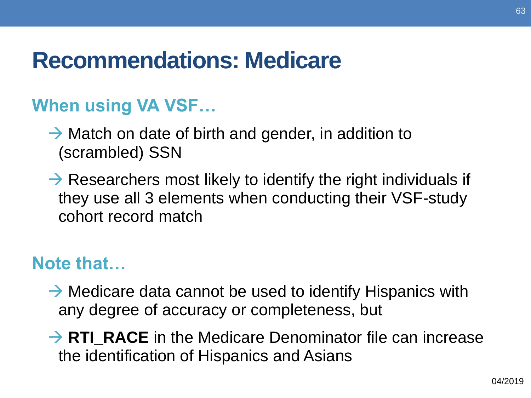## **Recommendations: Medicare**

#### **When using VA VSF…**

- $\rightarrow$  Match on date of birth and gender, in addition to (scrambled) SSN
- they use all 3 elements when conducting their VSF-study  $\rightarrow$  Researchers most likely to identify the right individuals if cohort record match

#### **Note that…**

- $\rightarrow$  Medicare data cannot be used to identify Hispanics with any degree of accuracy or completeness, but
- the identification of Hispanics and Asians → **RTI\_RACE** in the Medicare Denominator file can increase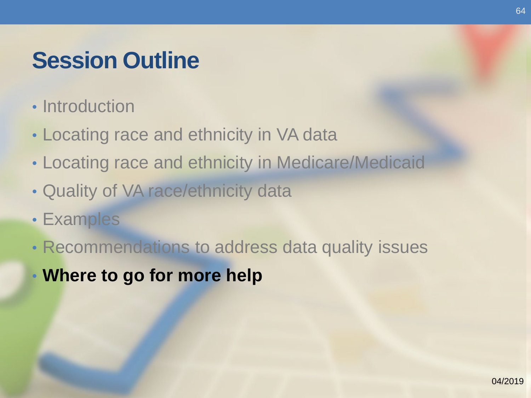## **Session Outline**

- Introduction
- Locating race and ethnicity in VA data
- Locating race and ethnicity in Medicare/Medicaid
- Quality of VA race/ethnicity data
- Examples
- Recommendations to address data quality issues
- **Where to go for more help**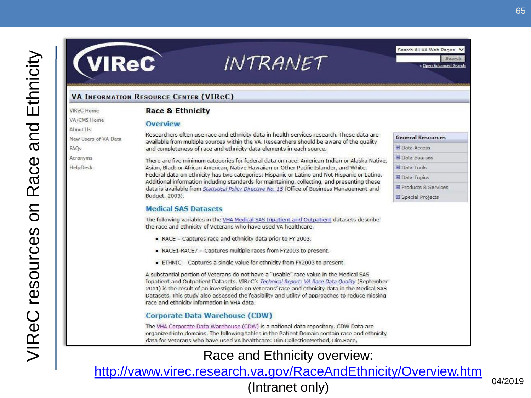# **VIReC**

#### INTRANET

Search All VA Web Pages » Open Advanced Search

**General Resources** 

**El** Data Access

**El** Data Sources

El Data Tools

Data Topics

El Products & Services

**El Special Projects** 

#### **VA INFORMATION RESOURCE CENTER (VIReC)**

**Overview** 

VIReC Home VA/CMS Home About Us New Users of VA Data

**FAOs** 

**Acronvms** 

HelpDesk

Researchers often use race and ethnicity data in health services research. These data are available from multiple sources within the VA. Researchers should be aware of the quality and completeness of race and ethnicity data elements in each source. There are five minimum categories for federal data on race: American Indian or Alaska Native. Asian, Black or African American, Native Hawaiian or Other Pacific Islander, and White. Federal data on ethnicity has two categories: Hispanic or Latino and Not Hispanic or Latino.

Additional information including standards for maintaining, collecting, and presenting these data is available from Statistical Policy Directive No. 15 (Office of Business Management and Budget, 2003).

#### **Medical SAS Datasets**

**Race & Ethnicity** 

The following variables in the VHA Medical SAS Inpatient and Outpatient datasets describe the race and ethnicity of Veterans who have used VA healthcare.

- RACE Captures race and ethnicity data prior to FY 2003.
- RACE1-RACE7 Captures multiple races from FY2003 to present.
- ETHNIC Captures a single value for ethnicity from FY2003 to present.

A substantial portion of Veterans do not have a "usable" race value in the Medical SAS Inpatient and Outpatient Datasets, VIReC's Technical Report: VA Race Data Ouality (September 2011) is the result of an investigation on Veterans' race and ethnicity data in the Medical SAS Datasets. This study also assessed the feasibility and utility of approaches to reduce missing race and ethnicity information in VHA data.

#### **Corporate Data Warehouse (CDW)**

The VHA Corporate Data Warehouse (CDW) is a national data repository. CDW Data are organized into domains. The following tables in the Patient Domain contain race and ethnicity data for Veterans who have used VA healthcare: Dim.CollectionMethod, Dim.Race,

#### Race and Ethnicity overview:

http://vaww.virec.research.va.gov/RaceAndEthnicity/Overview.htm<br>(Intranet only) (Intranet only)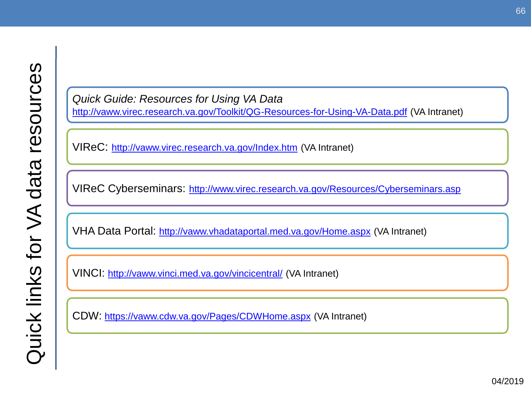*Quick Guide: Resources for Using VA Data*  <http://vaww.virec.research.va.gov/Toolkit/QG-Resources-for-Using-VA-Data.pdf>(VA Intranet)

VIReC:<http://vaww.virec.research.va.gov/Index.htm>(VA Intranet)

VIReC Cyberseminars: http://www.virec.research.va.gov/Resources/Cyberseminars.asp

VHA Data Portal: <http://vaww.vhadataportal.med.va.gov/Home.aspx>(VA Intranet)

VINCI:http://vaww.vinci.med.va.gov/vincicentral/ (VA Intranet)

CDW:<https://vaww.cdw.va.gov/Pages/CDWHome.aspx> (VA Intranet)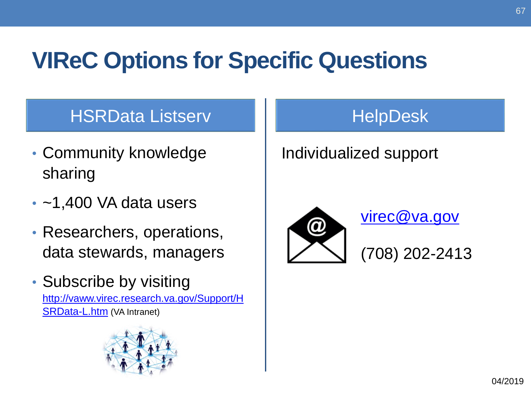## **VIReC Options for Specific Questions**

#### HSRData Listserv Holl HelpDesk

- Community knowledge **Individualized support** sharing
- 
- Researchers, operations,
- Subscribe by visiting

[http://vaww.virec.research.va.gov/Support/H](http://vaww.virec.research.va.gov/Support/HSRData-L.htm) SRData-L.htm (VA Intranet)



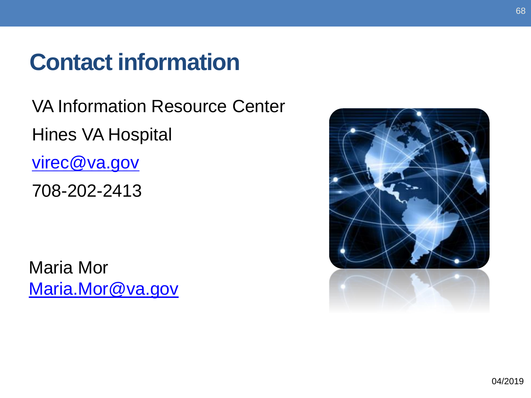## **Contact information**

VA Information Resource Center Hines VA Hospital virec@va.gov

708-202-2413

Maria Mor [Maria.Mor@va.gov](mailto:Maria.Mor@va.gov)

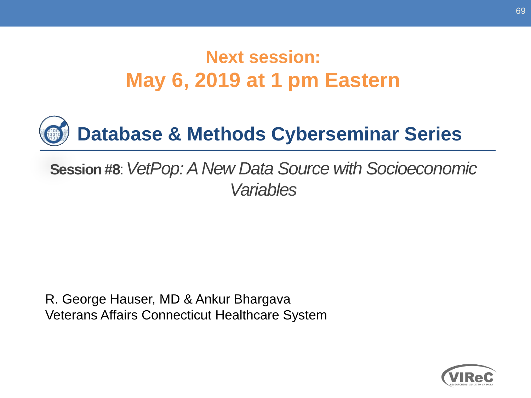#### **May 6, 2019 at 1 pm Eastern Next session:**



#### **Session #8**: *VetPop: A New Data Source with Socioeconomic Variables*

R. George Hauser, MD & Ankur Bhargava Veterans Affairs Connecticut Healthcare System

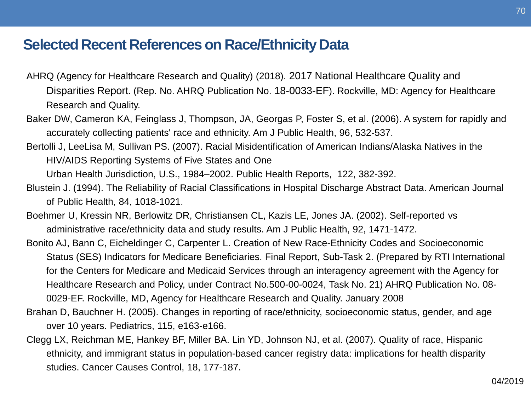#### **Selected Recent References on Race/Ethnicity Data**

- AHRQ (Agency for Healthcare Research and Quality) (2018). 2017 National Healthcare Quality and Disparities Report. (Rep. No. AHRQ Publication No. 18-0033-EF). Rockville, MD: Agency for Healthcare Research and Quality.
- Baker DW, Cameron KA, Feinglass J, Thompson, JA, Georgas P, Foster S, et al. (2006). A system for rapidly and accurately collecting patients' race and ethnicity. Am J Public Health, 96, 532-537.
- Bertolli J, LeeLisa M, Sullivan PS. (2007). Racial Misidentification of American Indians/Alaska Natives in the HIV/AIDS Reporting Systems of Five States and One

Urban Health Jurisdiction, U.S., 1984–2002. Public Health Reports, 122, 382-392.

- Blustein J. (1994). The Reliability of Racial Classifications in Hospital Discharge Abstract Data. American Journal of Public Health, 84, 1018-1021.
- Boehmer U, Kressin NR, Berlowitz DR, Christiansen CL, Kazis LE, Jones JA. (2002). Self-reported vs administrative race/ethnicity data and study results. Am J Public Health, 92, 1471-1472.
- Bonito AJ, Bann C, Eicheldinger C, Carpenter L. Creation of New Race-Ethnicity Codes and Socioeconomic Status (SES) Indicators for Medicare Beneficiaries. Final Report, Sub-Task 2. (Prepared by RTI International for the Centers for Medicare and Medicaid Services through an interagency agreement with the Agency for Healthcare Research and Policy, under Contract No.500-00-0024, Task No. 21) AHRQ Publication No. 08- 0029-EF. Rockville, MD, Agency for Healthcare Research and Quality. January 2008
- Brahan D, Bauchner H. (2005). Changes in reporting of race/ethnicity, socioeconomic status, gender, and age over 10 years. Pediatrics, 115, e163-e166.
- Clegg LX, Reichman ME, Hankey BF, Miller BA. Lin YD, Johnson NJ, et al. (2007). Quality of race, Hispanic ethnicity, and immigrant status in population-based cancer registry data: implications for health disparity studies. Cancer Causes Control, 18, 177-187.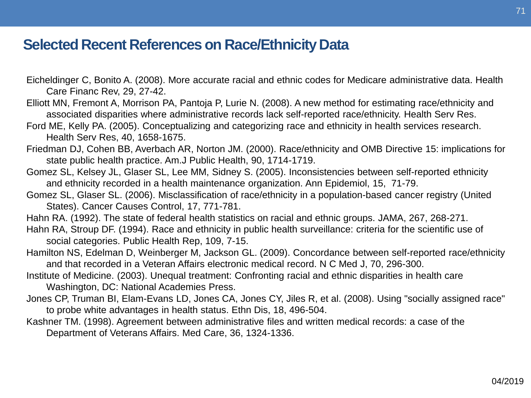#### **Selected Recent References on Race/Ethnicity Data**

- Eicheldinger C, Bonito A. (2008). More accurate racial and ethnic codes for Medicare administrative data. Health Care Financ Rev, 29, 27-42.
- Elliott MN, Fremont A, Morrison PA, Pantoja P, Lurie N. (2008). A new method for estimating race/ethnicity and associated disparities where administrative records lack self-reported race/ethnicity. Health Serv Res.
- Ford ME, Kelly PA. (2005). Conceptualizing and categorizing race and ethnicity in health services research. Health Serv Res, 40, 1658-1675.
- Friedman DJ, Cohen BB, Averbach AR, Norton JM. (2000). Race/ethnicity and OMB Directive 15: implications for state public health practice. Am.J Public Health, 90, 1714-1719.
- Gomez SL, Kelsey JL, Glaser SL, Lee MM, Sidney S. (2005). Inconsistencies between self-reported ethnicity and ethnicity recorded in a health maintenance organization. Ann Epidemiol, 15, 71-79.
- Gomez SL, Glaser SL. (2006). Misclassification of race/ethnicity in a population-based cancer registry (United States). Cancer Causes Control, 17, 771-781.
- Hahn RA. (1992). The state of federal health statistics on racial and ethnic groups. JAMA, 267, 268-271.
- Hahn RA, Stroup DF. (1994). Race and ethnicity in public health surveillance: criteria for the scientific use of social categories. Public Health Rep, 109, 7-15.
- Hamilton NS, Edelman D, Weinberger M, Jackson GL. (2009). Concordance between self-reported race/ethnicity and that recorded in a Veteran Affairs electronic medical record. N C Med J, 70, 296-300.
- Institute of Medicine. (2003). Unequal treatment: Confronting racial and ethnic disparities in health care Washington, DC: National Academies Press.
- Jones CP, Truman BI, Elam-Evans LD, Jones CA, Jones CY, Jiles R, et al. (2008). Using "socially assigned race" to probe white advantages in health status. Ethn Dis, 18, 496-504.
- Kashner TM. (1998). Agreement between administrative files and written medical records: a case of the Department of Veterans Affairs. Med Care, 36, 1324-1336.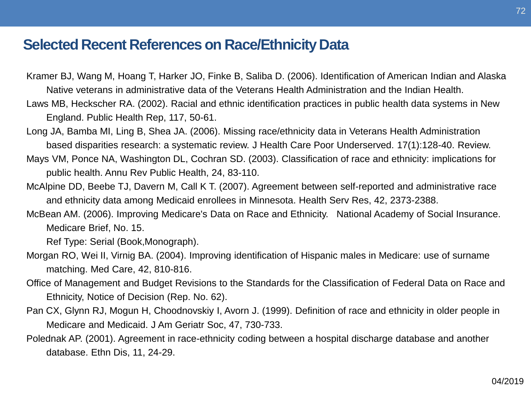#### **Selected Recent References on Race/Ethnicity Data**

- Kramer BJ, Wang M, Hoang T, Harker JO, Finke B, Saliba D. (2006). Identification of American Indian and Alaska Native veterans in administrative data of the Veterans Health Administration and the Indian Health.
- Laws MB, Heckscher RA. (2002). Racial and ethnic identification practices in public health data systems in New England. Public Health Rep, 117, 50-61.
- Long JA, Bamba MI, Ling B, Shea JA. (2006). Missing race/ethnicity data in Veterans Health Administration based disparities research: a systematic review. J Health Care Poor Underserved. 17(1):128-40. Review.
- public health. Annu Rev Public Health, 24, 83-110. Mays VM, Ponce NA, Washington DL, Cochran SD. (2003). Classification of race and ethnicity: implications for
- McAlpine DD, Beebe TJ, Davern M, Call K T. (2007). Agreement between self-reported and administrative race and ethnicity data among Medicaid enrollees in Minnesota. Health Serv Res, 42, 2373-2388.
- McBean AM. (2006). Improving Medicare's Data on Race and Ethnicity. National Academy of Social Insurance. Medicare Brief, No. 15.

Ref Type: Serial (Book,Monograph).

- Morgan RO, Wei II, Virnig BA. (2004). Improving identification of Hispanic males in Medicare: use of surname matching. Med Care, 42, 810-816.
- Office of Management and Budget Revisions to the Standards for the Classification of Federal Data on Race and Ethnicity, Notice of Decision (Rep. No. 62).
- Pan CX, Glynn RJ, Mogun H, Choodnovskiy I, Avorn J. (1999). Definition of race and ethnicity in older people in Medicare and Medicaid. J Am Geriatr Soc, 47, 730-733.
- Polednak AP. (2001). Agreement in race-ethnicity coding between a hospital discharge database and another database. Ethn Dis, 11, 24-29.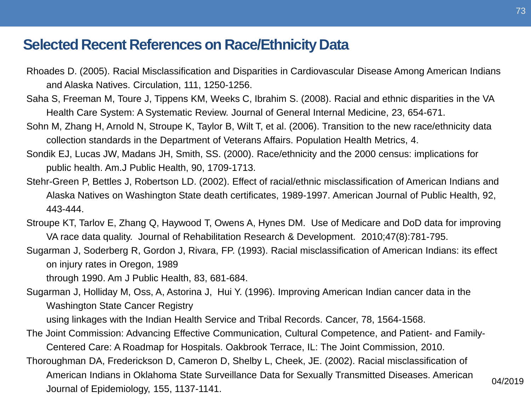## **Selected Recent References on Race/Ethnicity Data**

- Rhoades D. (2005). Racial Misclassification and Disparities in Cardiovascular Disease Among American Indians and Alaska Natives. Circulation, 111, 1250-1256.
- Saha S, Freeman M, Toure J, Tippens KM, Weeks C, Ibrahim S. (2008). Racial and ethnic disparities in the VA Health Care System: A Systematic Review. Journal of General Internal Medicine, 23, 654-671.
- Sohn M, Zhang H, Arnold N, Stroupe K, Taylor B, Wilt T, et al. (2006). Transition to the new race/ethnicity data collection standards in the Department of Veterans Affairs. Population Health Metrics, 4.
- Sondik EJ, Lucas JW, Madans JH, Smith, SS. (2000). Race/ethnicity and the 2000 census: implications for public health. Am.J Public Health, 90, 1709-1713.
- Stehr-Green P, Bettles J, Robertson LD. (2002). Effect of racial/ethnic misclassification of American Indians and Alaska Natives on Washington State death certificates, 1989-1997. American Journal of Public Health, 92, 443-444.
- Stroupe KT, Tarlov E, Zhang Q, Haywood T, Owens A, Hynes DM. Use of Medicare and DoD data for improving VA race data quality. Journal of Rehabilitation Research & Development. 2010;47(8):781-795.
- Sugarman J, Soderberg R, Gordon J, Rivara, FP. (1993). Racial misclassification of American Indians: its effect on injury rates in Oregon, 1989

through 1990. Am J Public Health, 83, 681-684.

 Sugarman J, Holliday M, Oss, A, Astorina J, Hui Y. (1996). Improving American Indian cancer data in the Washington State Cancer Registry

using linkages with the Indian Health Service and Tribal Records. Cancer, 78, 1564-1568.

- The Joint Commission: Advancing Effective Communication, Cultural Competence, and Patient- and Family-Centered Care: A Roadmap for Hospitals. Oakbrook Terrace, IL: The Joint Commission, 2010.
- Thoroughman DA, Frederickson D, Cameron D, Shelby L, Cheek, JE. (2002). Racial misclassification of American Indians in Oklahoma State Surveillance Data for Sexually Transmitted Diseases. American Journal of Epidemiology, 155, 1137-1141.